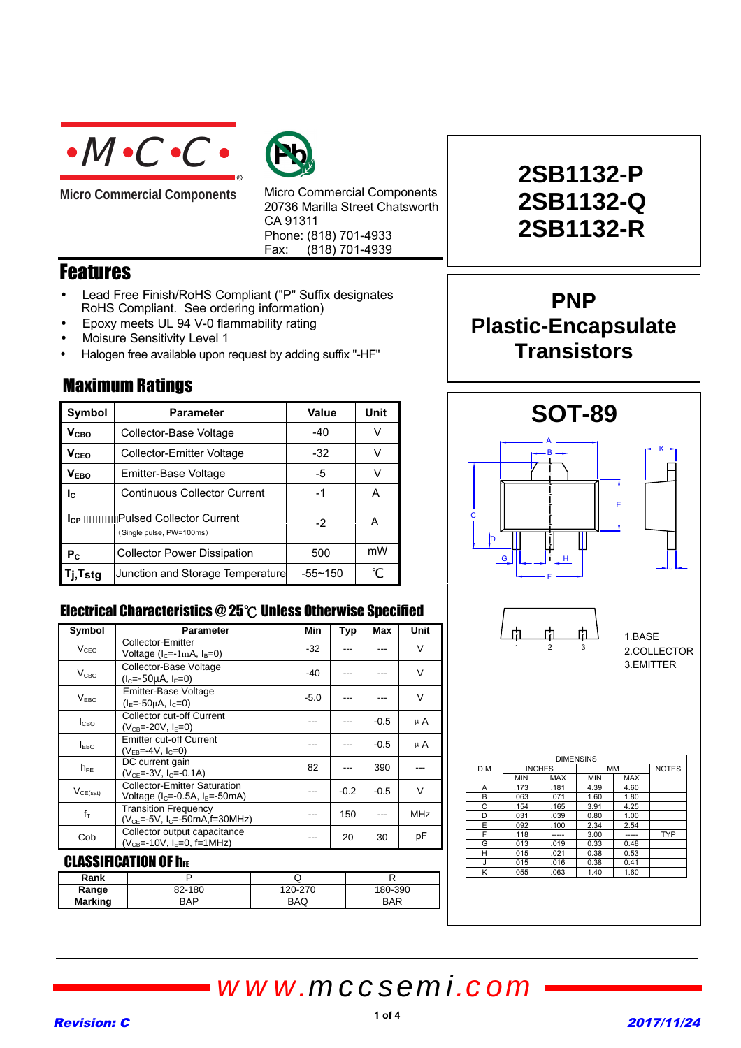

**Micro Commercial Components** 



Micro Commercial Components 20736 Marilla Street Chatsworth CA 91311 Phone: (818) 701-4933 Fax:  $(818)$  701-4939

### Features

- Lead Free Finish/RoHS Compliant ("P" Suffix designates RoHS Compliant. See ordering information)
- Epoxy meets UL 94 V-0 flammability rating
- Moisure Sensitivity Level 1

Maximum Ratings

• Halogen free available upon request by adding suffix "-HF"

| Symbol                  | <b>Parameter</b>                                      | Value       | Unit |
|-------------------------|-------------------------------------------------------|-------------|------|
| <b>V</b> <sub>CВО</sub> | Collector-Base Voltage                                | $-40$       | V    |
| <b>V<sub>CEO</sub></b>  | Collector-Emitter Voltage                             | $-32$       |      |
| V <sub>EBO</sub>        | Emitter-Base Voltage                                  | -5          | v    |
| $I_{\rm C}$             | <b>Continuous Collector Current</b>                   | -1          | А    |
| <b>I</b> CP             | 'Pulsed Collector Current<br>(Single pulse, PW=100ms) | $-2$        | А    |
| $P_{C}$                 | <b>Collector Power Dissipation</b>                    | 500         | mW   |
| sta                     | Junction and Storage Temperature                      | $-55 - 150$ |      |

### Electrical Characteristics  $@25^\circ \text{C}$  Unless Otherwise Specified

| Symbol                      | <b>Parameter</b>                                                                 | Min    | Typ    | Max    | Unit       |
|-----------------------------|----------------------------------------------------------------------------------|--------|--------|--------|------------|
| V <sub>CEO</sub>            | Collector-Emitter<br>Voltage $(lC=-1mA, lB=0)$                                   | $-32$  |        |        | V          |
| $V_{\text{CBO}}$            | Collector-Base Voltage<br>$(lC=-50µA, lF=0)$                                     | -40    |        |        | $\vee$     |
| V <sub>FBO</sub>            | <b>Emitter-Base Voltage</b><br>$(I_E = -50\mu A, I_C = 0)$                       | $-5.0$ |        |        | V          |
| I <sub>СВО</sub>            | <b>Collector cut-off Current</b><br>$(V_{CB} = -20V, I_E = 0)$                   |        |        | $-0.5$ | μA         |
| <b>LEBO</b>                 | <b>Emitter cut-off Current</b><br>$(V_{FB} = -4V, I_C = 0)$                      |        |        | $-0.5$ | μA         |
| $h_{FE}$                    | DC current gain<br>$(VCE=-3V, IC=-0.1A)$                                         | 82     |        | 390    |            |
| $V_{CE(sat)}$               | <b>Collector-Emitter Saturation</b><br>Voltage ( $I_c = -0.5A$ , $I_B = -50mA$ ) |        | $-0.2$ | $-0.5$ | V          |
| $f_T$                       | <b>Transition Frequency</b><br>$(V_{CE} = -5V, I_C = -50mA, f = 30MHz)$          |        | 150    | ---    | <b>MHz</b> |
| Cob                         | Collector output capacitance<br>$(V_{CB} = -10V, I_E = 0, f = 1MHz)$             |        | 20     | 30     | рF         |
| <u>CI ASSIFICATION OF h</u> |                                                                                  |        |        |        |            |

### DƏIFIGATIUN UF IIF

| Rank    |        | w       |            |
|---------|--------|---------|------------|
| Range   | 82-180 | 120-270 | 180-390    |
| Marking | BAP    | BAQ     | <b>BAR</b> |

# **2SB1132-P 2SB1132-Q 2SB1132-R**

## **PNP Plastic-Encapsulate Transistors**



# *www.mccsemi.com*

### Revision: C 2017/11/24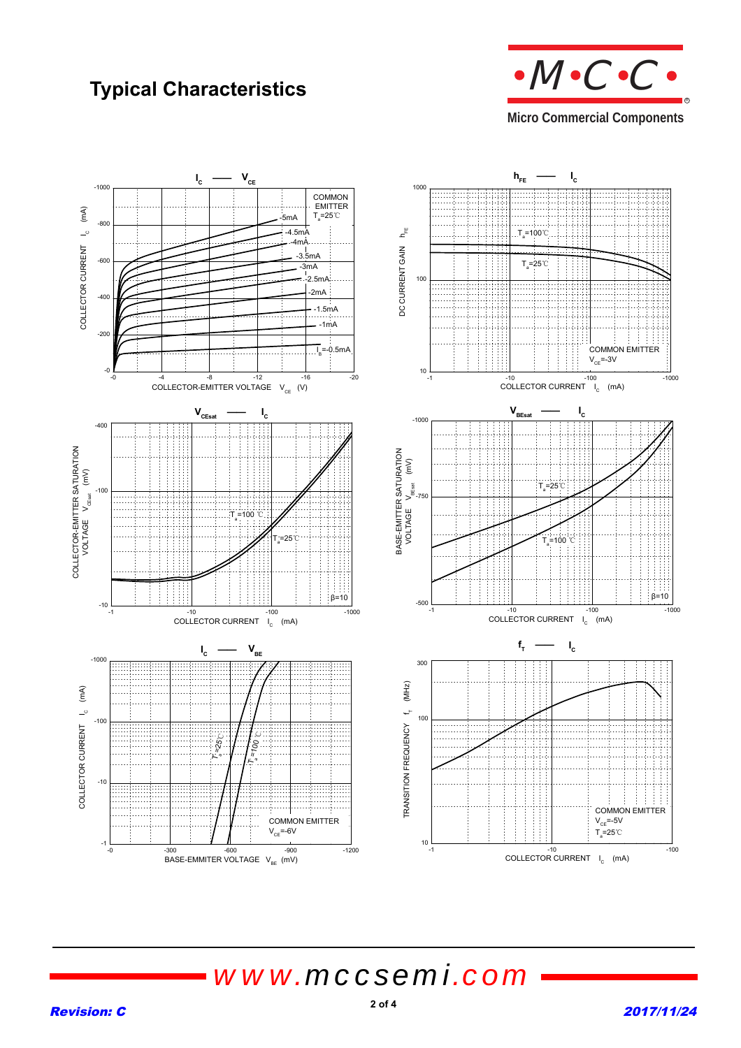## **Typical Characteristics**



**Micro Commercial Components** 



*www.mccsemi.com*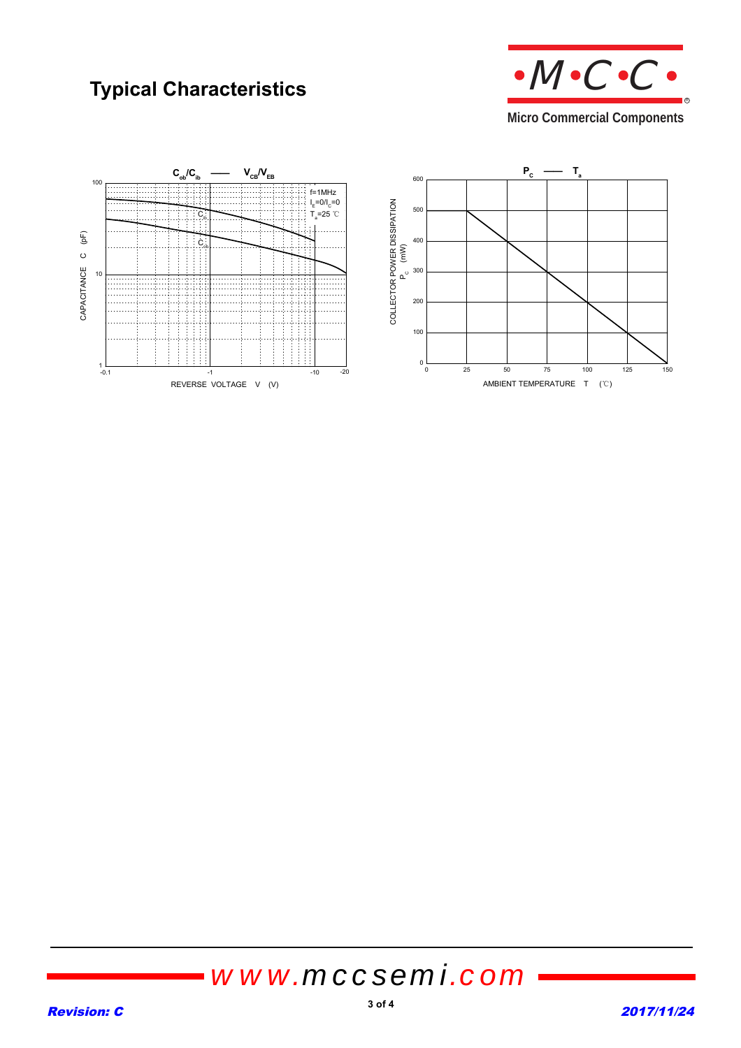## **Typical Characteristics**



**Micro Commercial Components** 



# *www.mccsemi.com*